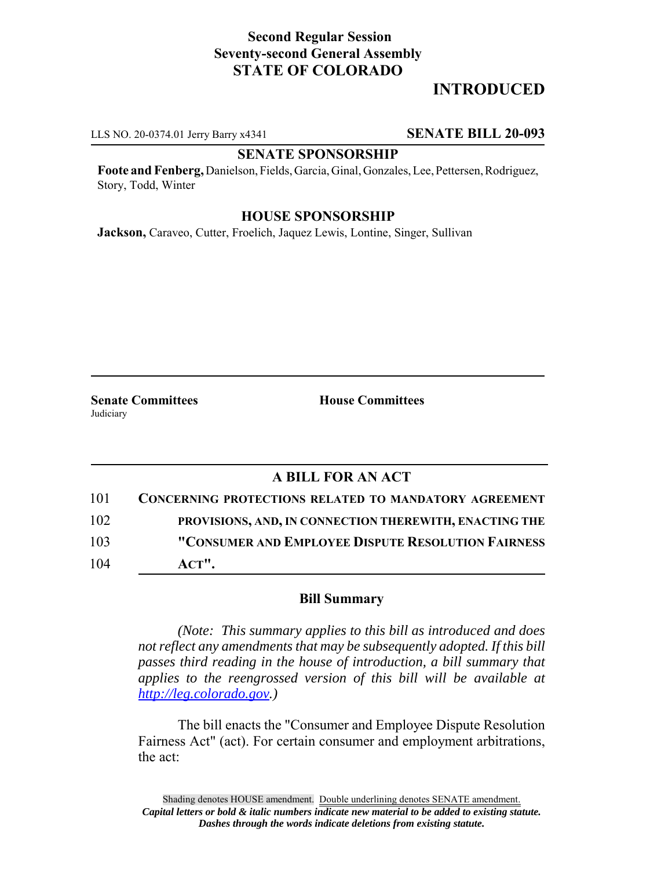## **Second Regular Session Seventy-second General Assembly STATE OF COLORADO**

# **INTRODUCED**

LLS NO. 20-0374.01 Jerry Barry x4341 **SENATE BILL 20-093**

#### **SENATE SPONSORSHIP**

**Foote and Fenberg,** Danielson, Fields, Garcia, Ginal, Gonzales, Lee, Pettersen, Rodriguez, Story, Todd, Winter

### **HOUSE SPONSORSHIP**

**Jackson,** Caraveo, Cutter, Froelich, Jaquez Lewis, Lontine, Singer, Sullivan

**Senate Committees House Committees Judiciary** 

## **A BILL FOR AN ACT**

| 101 | <b>CONCERNING PROTECTIONS RELATED TO MANDATORY AGREEMENT</b> |
|-----|--------------------------------------------------------------|
| 102 | PROVISIONS, AND, IN CONNECTION THEREWITH, ENACTING THE       |
| 103 | "CONSUMER AND EMPLOYEE DISPUTE RESOLUTION FAIRNESS           |
| 104 | $ACT$ ".                                                     |

#### **Bill Summary**

*(Note: This summary applies to this bill as introduced and does not reflect any amendments that may be subsequently adopted. If this bill passes third reading in the house of introduction, a bill summary that applies to the reengrossed version of this bill will be available at http://leg.colorado.gov.)*

The bill enacts the "Consumer and Employee Dispute Resolution Fairness Act" (act). For certain consumer and employment arbitrations, the act: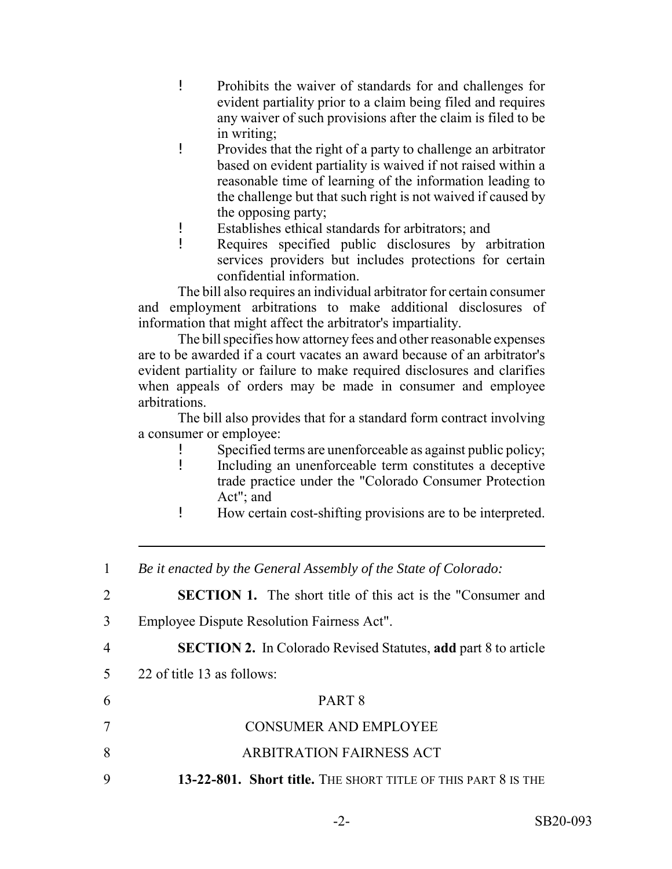- ! Prohibits the waiver of standards for and challenges for evident partiality prior to a claim being filed and requires any waiver of such provisions after the claim is filed to be in writing;
- ! Provides that the right of a party to challenge an arbitrator based on evident partiality is waived if not raised within a reasonable time of learning of the information leading to the challenge but that such right is not waived if caused by the opposing party;
- ! Establishes ethical standards for arbitrators; and
- ! Requires specified public disclosures by arbitration services providers but includes protections for certain confidential information.

The bill also requires an individual arbitrator for certain consumer and employment arbitrations to make additional disclosures of information that might affect the arbitrator's impartiality.

The bill specifies how attorney fees and other reasonable expenses are to be awarded if a court vacates an award because of an arbitrator's evident partiality or failure to make required disclosures and clarifies when appeals of orders may be made in consumer and employee arbitrations.

The bill also provides that for a standard form contract involving a consumer or employee:

- ! Specified terms are unenforceable as against public policy;
- ! Including an unenforceable term constitutes a deceptive trade practice under the "Colorado Consumer Protection Act"; and
- ! How certain cost-shifting provisions are to be interpreted.
- 1 *Be it enacted by the General Assembly of the State of Colorado:* 2 **SECTION 1.** The short title of this act is the "Consumer and 3 Employee Dispute Resolution Fairness Act". 4 **SECTION 2.** In Colorado Revised Statutes, **add** part 8 to article 5 22 of title 13 as follows: 6 PART 8 7 CONSUMER AND EMPLOYEE 8 ARBITRATION FAIRNESS ACT 9 **13-22-801. Short title.** THE SHORT TITLE OF THIS PART 8 IS THE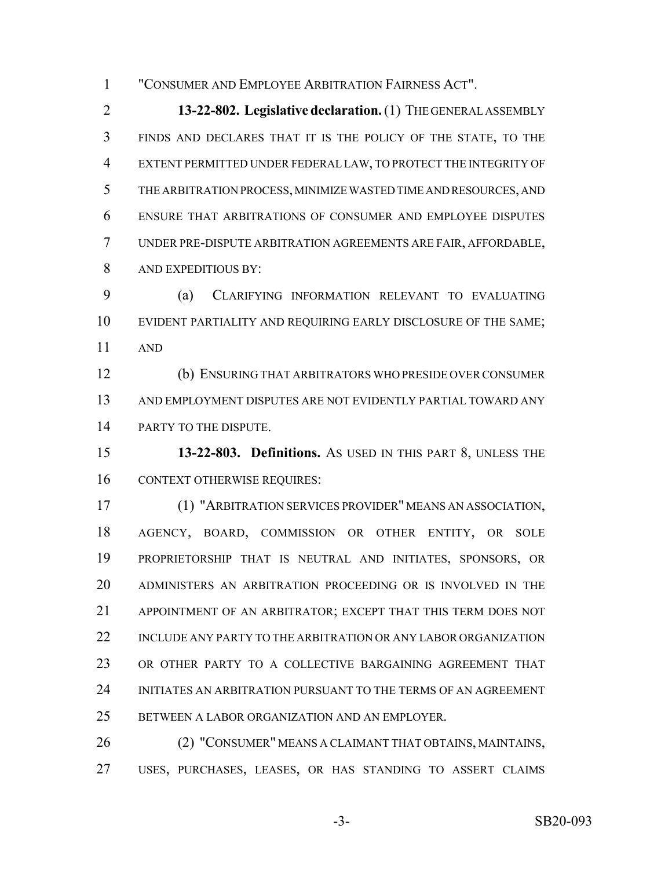"CONSUMER AND EMPLOYEE ARBITRATION FAIRNESS ACT".

 **13-22-802. Legislative declaration.** (1) THE GENERAL ASSEMBLY FINDS AND DECLARES THAT IT IS THE POLICY OF THE STATE, TO THE EXTENT PERMITTED UNDER FEDERAL LAW, TO PROTECT THE INTEGRITY OF THE ARBITRATION PROCESS, MINIMIZE WASTED TIME AND RESOURCES, AND ENSURE THAT ARBITRATIONS OF CONSUMER AND EMPLOYEE DISPUTES UNDER PRE-DISPUTE ARBITRATION AGREEMENTS ARE FAIR, AFFORDABLE, AND EXPEDITIOUS BY:

 (a) CLARIFYING INFORMATION RELEVANT TO EVALUATING EVIDENT PARTIALITY AND REQUIRING EARLY DISCLOSURE OF THE SAME; AND

 (b) ENSURING THAT ARBITRATORS WHO PRESIDE OVER CONSUMER AND EMPLOYMENT DISPUTES ARE NOT EVIDENTLY PARTIAL TOWARD ANY 14 PARTY TO THE DISPUTE.

 **13-22-803. Definitions.** AS USED IN THIS PART 8, UNLESS THE CONTEXT OTHERWISE REQUIRES:

 (1) "ARBITRATION SERVICES PROVIDER" MEANS AN ASSOCIATION, AGENCY, BOARD, COMMISSION OR OTHER ENTITY, OR SOLE PROPRIETORSHIP THAT IS NEUTRAL AND INITIATES, SPONSORS, OR ADMINISTERS AN ARBITRATION PROCEEDING OR IS INVOLVED IN THE APPOINTMENT OF AN ARBITRATOR; EXCEPT THAT THIS TERM DOES NOT INCLUDE ANY PARTY TO THE ARBITRATION OR ANY LABOR ORGANIZATION OR OTHER PARTY TO A COLLECTIVE BARGAINING AGREEMENT THAT INITIATES AN ARBITRATION PURSUANT TO THE TERMS OF AN AGREEMENT BETWEEN A LABOR ORGANIZATION AND AN EMPLOYER.

 (2) "CONSUMER" MEANS A CLAIMANT THAT OBTAINS, MAINTAINS, USES, PURCHASES, LEASES, OR HAS STANDING TO ASSERT CLAIMS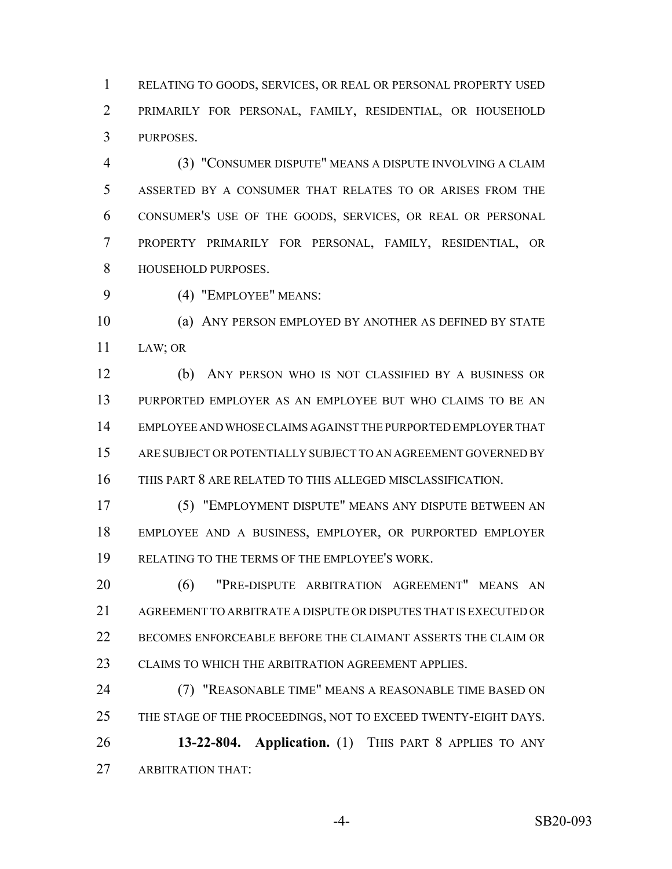RELATING TO GOODS, SERVICES, OR REAL OR PERSONAL PROPERTY USED PRIMARILY FOR PERSONAL, FAMILY, RESIDENTIAL, OR HOUSEHOLD PURPOSES.

 (3) "CONSUMER DISPUTE" MEANS A DISPUTE INVOLVING A CLAIM ASSERTED BY A CONSUMER THAT RELATES TO OR ARISES FROM THE CONSUMER'S USE OF THE GOODS, SERVICES, OR REAL OR PERSONAL PROPERTY PRIMARILY FOR PERSONAL, FAMILY, RESIDENTIAL, OR HOUSEHOLD PURPOSES.

(4) "EMPLOYEE" MEANS:

 (a) ANY PERSON EMPLOYED BY ANOTHER AS DEFINED BY STATE LAW; OR

 (b) ANY PERSON WHO IS NOT CLASSIFIED BY A BUSINESS OR PURPORTED EMPLOYER AS AN EMPLOYEE BUT WHO CLAIMS TO BE AN EMPLOYEE AND WHOSE CLAIMS AGAINST THE PURPORTED EMPLOYER THAT ARE SUBJECT OR POTENTIALLY SUBJECT TO AN AGREEMENT GOVERNED BY THIS PART 8 ARE RELATED TO THIS ALLEGED MISCLASSIFICATION.

 (5) "EMPLOYMENT DISPUTE" MEANS ANY DISPUTE BETWEEN AN EMPLOYEE AND A BUSINESS, EMPLOYER, OR PURPORTED EMPLOYER RELATING TO THE TERMS OF THE EMPLOYEE'S WORK.

 (6) "PRE-DISPUTE ARBITRATION AGREEMENT" MEANS AN AGREEMENT TO ARBITRATE A DISPUTE OR DISPUTES THAT IS EXECUTED OR BECOMES ENFORCEABLE BEFORE THE CLAIMANT ASSERTS THE CLAIM OR CLAIMS TO WHICH THE ARBITRATION AGREEMENT APPLIES.

 (7) "REASONABLE TIME" MEANS A REASONABLE TIME BASED ON THE STAGE OF THE PROCEEDINGS, NOT TO EXCEED TWENTY-EIGHT DAYS. **13-22-804. Application.** (1) THIS PART 8 APPLIES TO ANY ARBITRATION THAT: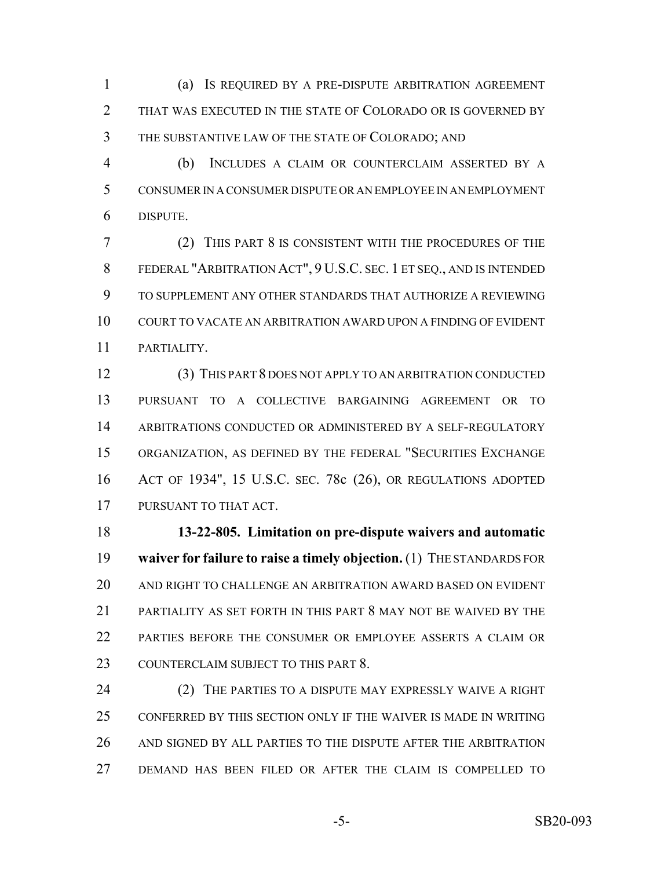(a) IS REQUIRED BY A PRE-DISPUTE ARBITRATION AGREEMENT THAT WAS EXECUTED IN THE STATE OF COLORADO OR IS GOVERNED BY THE SUBSTANTIVE LAW OF THE STATE OF COLORADO; AND

 (b) INCLUDES A CLAIM OR COUNTERCLAIM ASSERTED BY A CONSUMER IN A CONSUMER DISPUTE OR AN EMPLOYEE IN AN EMPLOYMENT DISPUTE.

 (2) THIS PART 8 IS CONSISTENT WITH THE PROCEDURES OF THE FEDERAL "ARBITRATION ACT", 9 U.S.C. SEC. 1 ET SEQ., AND IS INTENDED TO SUPPLEMENT ANY OTHER STANDARDS THAT AUTHORIZE A REVIEWING COURT TO VACATE AN ARBITRATION AWARD UPON A FINDING OF EVIDENT PARTIALITY.

 (3) THIS PART 8 DOES NOT APPLY TO AN ARBITRATION CONDUCTED PURSUANT TO A COLLECTIVE BARGAINING AGREEMENT OR TO ARBITRATIONS CONDUCTED OR ADMINISTERED BY A SELF-REGULATORY ORGANIZATION, AS DEFINED BY THE FEDERAL "SECURITIES EXCHANGE ACT OF 1934", 15 U.S.C. SEC. 78c (26), OR REGULATIONS ADOPTED PURSUANT TO THAT ACT.

 **13-22-805. Limitation on pre-dispute waivers and automatic waiver for failure to raise a timely objection.** (1) THE STANDARDS FOR AND RIGHT TO CHALLENGE AN ARBITRATION AWARD BASED ON EVIDENT PARTIALITY AS SET FORTH IN THIS PART 8 MAY NOT BE WAIVED BY THE PARTIES BEFORE THE CONSUMER OR EMPLOYEE ASSERTS A CLAIM OR 23 COUNTERCLAIM SUBJECT TO THIS PART 8.

 (2) THE PARTIES TO A DISPUTE MAY EXPRESSLY WAIVE A RIGHT CONFERRED BY THIS SECTION ONLY IF THE WAIVER IS MADE IN WRITING AND SIGNED BY ALL PARTIES TO THE DISPUTE AFTER THE ARBITRATION DEMAND HAS BEEN FILED OR AFTER THE CLAIM IS COMPELLED TO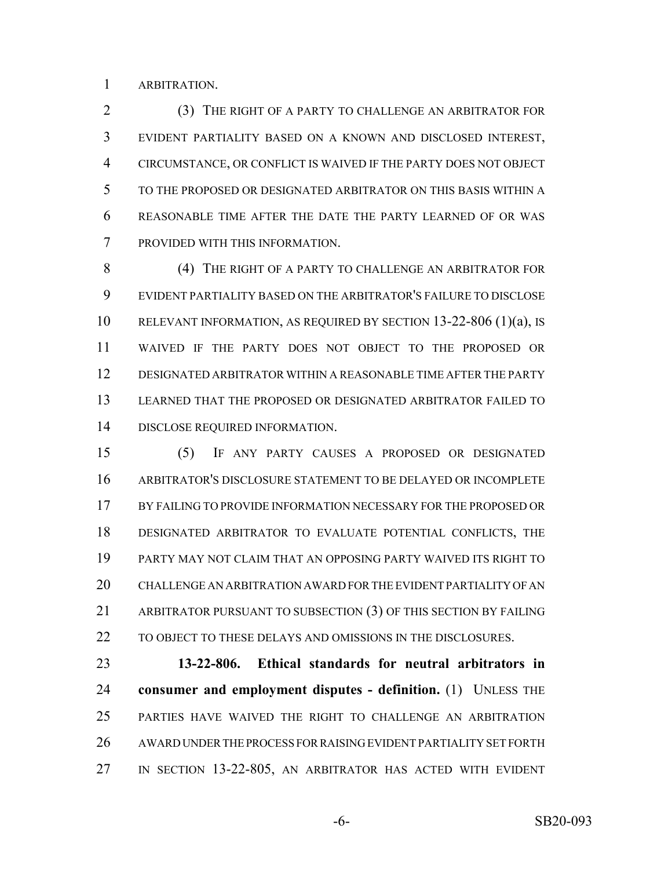ARBITRATION.

 (3) THE RIGHT OF A PARTY TO CHALLENGE AN ARBITRATOR FOR EVIDENT PARTIALITY BASED ON A KNOWN AND DISCLOSED INTEREST, CIRCUMSTANCE, OR CONFLICT IS WAIVED IF THE PARTY DOES NOT OBJECT TO THE PROPOSED OR DESIGNATED ARBITRATOR ON THIS BASIS WITHIN A REASONABLE TIME AFTER THE DATE THE PARTY LEARNED OF OR WAS PROVIDED WITH THIS INFORMATION.

8 (4) THE RIGHT OF A PARTY TO CHALLENGE AN ARBITRATOR FOR EVIDENT PARTIALITY BASED ON THE ARBITRATOR'S FAILURE TO DISCLOSE RELEVANT INFORMATION, AS REQUIRED BY SECTION 13-22-806 (1)(a), IS WAIVED IF THE PARTY DOES NOT OBJECT TO THE PROPOSED OR DESIGNATED ARBITRATOR WITHIN A REASONABLE TIME AFTER THE PARTY LEARNED THAT THE PROPOSED OR DESIGNATED ARBITRATOR FAILED TO DISCLOSE REQUIRED INFORMATION.

 (5) IF ANY PARTY CAUSES A PROPOSED OR DESIGNATED ARBITRATOR'S DISCLOSURE STATEMENT TO BE DELAYED OR INCOMPLETE BY FAILING TO PROVIDE INFORMATION NECESSARY FOR THE PROPOSED OR DESIGNATED ARBITRATOR TO EVALUATE POTENTIAL CONFLICTS, THE PARTY MAY NOT CLAIM THAT AN OPPOSING PARTY WAIVED ITS RIGHT TO CHALLENGE AN ARBITRATION AWARD FOR THE EVIDENT PARTIALITY OF AN ARBITRATOR PURSUANT TO SUBSECTION (3) OF THIS SECTION BY FAILING TO OBJECT TO THESE DELAYS AND OMISSIONS IN THE DISCLOSURES.

 **13-22-806. Ethical standards for neutral arbitrators in consumer and employment disputes - definition.** (1) UNLESS THE PARTIES HAVE WAIVED THE RIGHT TO CHALLENGE AN ARBITRATION AWARD UNDER THE PROCESS FOR RAISING EVIDENT PARTIALITY SET FORTH IN SECTION 13-22-805, AN ARBITRATOR HAS ACTED WITH EVIDENT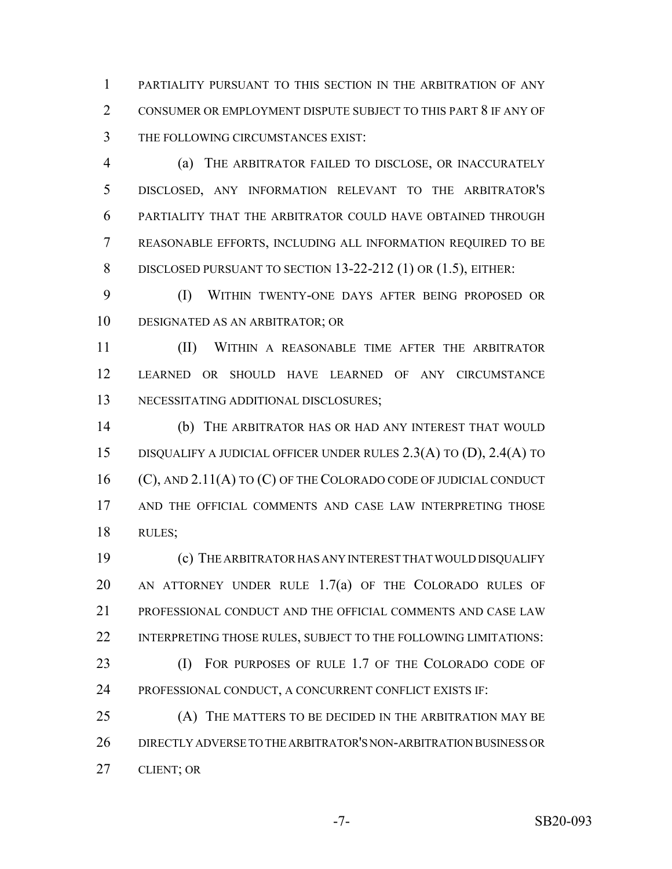PARTIALITY PURSUANT TO THIS SECTION IN THE ARBITRATION OF ANY CONSUMER OR EMPLOYMENT DISPUTE SUBJECT TO THIS PART 8 IF ANY OF THE FOLLOWING CIRCUMSTANCES EXIST:

 (a) THE ARBITRATOR FAILED TO DISCLOSE, OR INACCURATELY DISCLOSED, ANY INFORMATION RELEVANT TO THE ARBITRATOR'S PARTIALITY THAT THE ARBITRATOR COULD HAVE OBTAINED THROUGH REASONABLE EFFORTS, INCLUDING ALL INFORMATION REQUIRED TO BE 8 DISCLOSED PURSUANT TO SECTION 13-22-212 (1) OR (1.5), EITHER:

 (I) WITHIN TWENTY-ONE DAYS AFTER BEING PROPOSED OR DESIGNATED AS AN ARBITRATOR; OR

 (II) WITHIN A REASONABLE TIME AFTER THE ARBITRATOR LEARNED OR SHOULD HAVE LEARNED OF ANY CIRCUMSTANCE NECESSITATING ADDITIONAL DISCLOSURES;

 (b) THE ARBITRATOR HAS OR HAD ANY INTEREST THAT WOULD DISQUALIFY A JUDICIAL OFFICER UNDER RULES 2.3(A) TO (D), 2.4(A) TO (C), AND 2.11(A) TO (C) OF THE COLORADO CODE OF JUDICIAL CONDUCT AND THE OFFICIAL COMMENTS AND CASE LAW INTERPRETING THOSE RULES;

 (c) THE ARBITRATOR HAS ANY INTEREST THAT WOULD DISQUALIFY 20 AN ATTORNEY UNDER RULE 1.7(a) OF THE COLORADO RULES OF PROFESSIONAL CONDUCT AND THE OFFICIAL COMMENTS AND CASE LAW INTERPRETING THOSE RULES, SUBJECT TO THE FOLLOWING LIMITATIONS: (I) FOR PURPOSES OF RULE 1.7 OF THE COLORADO CODE OF

PROFESSIONAL CONDUCT, A CONCURRENT CONFLICT EXISTS IF:

 (A) THE MATTERS TO BE DECIDED IN THE ARBITRATION MAY BE DIRECTLY ADVERSE TO THE ARBITRATOR'S NON-ARBITRATION BUSINESS OR CLIENT; OR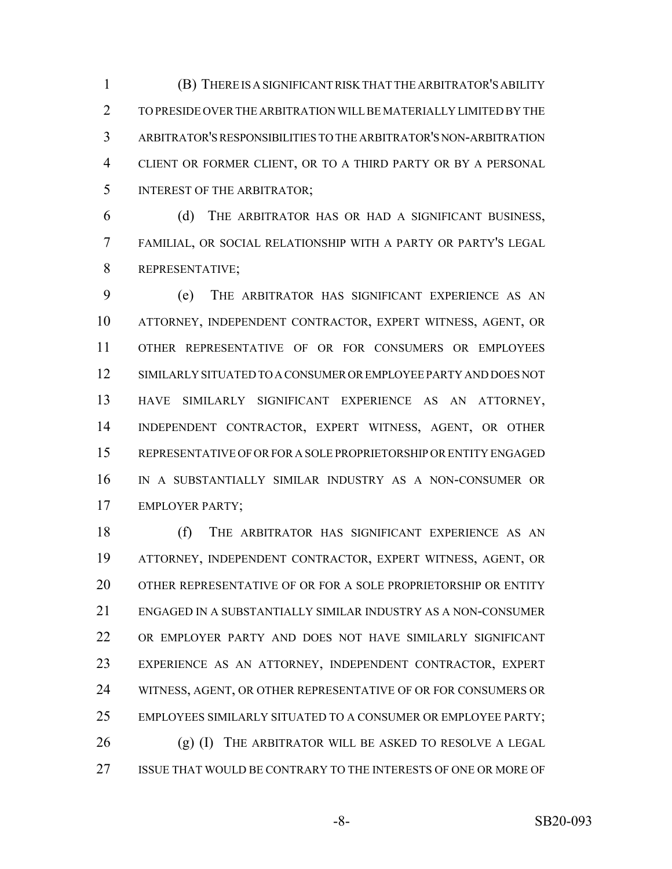(B) THERE IS A SIGNIFICANT RISK THAT THE ARBITRATOR'S ABILITY TO PRESIDE OVER THE ARBITRATION WILL BE MATERIALLY LIMITED BY THE ARBITRATOR'S RESPONSIBILITIES TO THE ARBITRATOR'S NON-ARBITRATION CLIENT OR FORMER CLIENT, OR TO A THIRD PARTY OR BY A PERSONAL INTEREST OF THE ARBITRATOR;

 (d) THE ARBITRATOR HAS OR HAD A SIGNIFICANT BUSINESS, FAMILIAL, OR SOCIAL RELATIONSHIP WITH A PARTY OR PARTY'S LEGAL REPRESENTATIVE;

 (e) THE ARBITRATOR HAS SIGNIFICANT EXPERIENCE AS AN ATTORNEY, INDEPENDENT CONTRACTOR, EXPERT WITNESS, AGENT, OR OTHER REPRESENTATIVE OF OR FOR CONSUMERS OR EMPLOYEES SIMILARLY SITUATED TO A CONSUMER OR EMPLOYEE PARTY AND DOES NOT HAVE SIMILARLY SIGNIFICANT EXPERIENCE AS AN ATTORNEY, INDEPENDENT CONTRACTOR, EXPERT WITNESS, AGENT, OR OTHER REPRESENTATIVE OF OR FOR A SOLE PROPRIETORSHIP OR ENTITY ENGAGED IN A SUBSTANTIALLY SIMILAR INDUSTRY AS A NON-CONSUMER OR EMPLOYER PARTY;

 (f) THE ARBITRATOR HAS SIGNIFICANT EXPERIENCE AS AN ATTORNEY, INDEPENDENT CONTRACTOR, EXPERT WITNESS, AGENT, OR OTHER REPRESENTATIVE OF OR FOR A SOLE PROPRIETORSHIP OR ENTITY ENGAGED IN A SUBSTANTIALLY SIMILAR INDUSTRY AS A NON-CONSUMER OR EMPLOYER PARTY AND DOES NOT HAVE SIMILARLY SIGNIFICANT EXPERIENCE AS AN ATTORNEY, INDEPENDENT CONTRACTOR, EXPERT WITNESS, AGENT, OR OTHER REPRESENTATIVE OF OR FOR CONSUMERS OR EMPLOYEES SIMILARLY SITUATED TO A CONSUMER OR EMPLOYEE PARTY; 26 (g) (I) THE ARBITRATOR WILL BE ASKED TO RESOLVE A LEGAL ISSUE THAT WOULD BE CONTRARY TO THE INTERESTS OF ONE OR MORE OF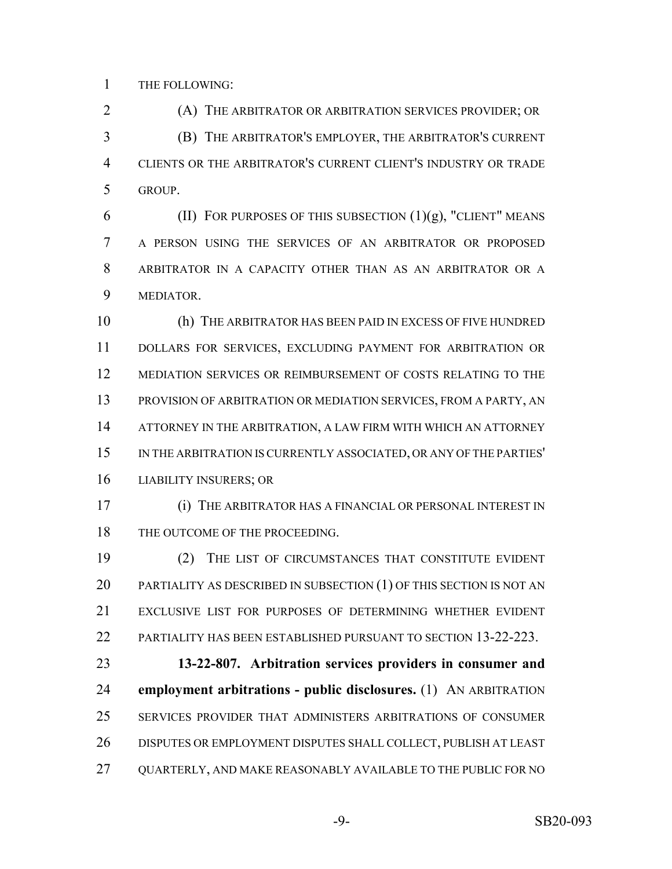THE FOLLOWING:

 (A) THE ARBITRATOR OR ARBITRATION SERVICES PROVIDER; OR (B) THE ARBITRATOR'S EMPLOYER, THE ARBITRATOR'S CURRENT CLIENTS OR THE ARBITRATOR'S CURRENT CLIENT'S INDUSTRY OR TRADE GROUP.

6 (II) FOR PURPOSES OF THIS SUBSECTION  $(1)(g)$ , "CLIENT" MEANS A PERSON USING THE SERVICES OF AN ARBITRATOR OR PROPOSED ARBITRATOR IN A CAPACITY OTHER THAN AS AN ARBITRATOR OR A MEDIATOR.

 (h) THE ARBITRATOR HAS BEEN PAID IN EXCESS OF FIVE HUNDRED DOLLARS FOR SERVICES, EXCLUDING PAYMENT FOR ARBITRATION OR MEDIATION SERVICES OR REIMBURSEMENT OF COSTS RELATING TO THE PROVISION OF ARBITRATION OR MEDIATION SERVICES, FROM A PARTY, AN ATTORNEY IN THE ARBITRATION, A LAW FIRM WITH WHICH AN ATTORNEY IN THE ARBITRATION IS CURRENTLY ASSOCIATED, OR ANY OF THE PARTIES' LIABILITY INSURERS; OR

 (i) THE ARBITRATOR HAS A FINANCIAL OR PERSONAL INTEREST IN 18 THE OUTCOME OF THE PROCEEDING.

 (2) THE LIST OF CIRCUMSTANCES THAT CONSTITUTE EVIDENT 20 PARTIALITY AS DESCRIBED IN SUBSECTION (1) OF THIS SECTION IS NOT AN EXCLUSIVE LIST FOR PURPOSES OF DETERMINING WHETHER EVIDENT PARTIALITY HAS BEEN ESTABLISHED PURSUANT TO SECTION 13-22-223.

 **13-22-807. Arbitration services providers in consumer and employment arbitrations - public disclosures.** (1) AN ARBITRATION SERVICES PROVIDER THAT ADMINISTERS ARBITRATIONS OF CONSUMER DISPUTES OR EMPLOYMENT DISPUTES SHALL COLLECT, PUBLISH AT LEAST QUARTERLY, AND MAKE REASONABLY AVAILABLE TO THE PUBLIC FOR NO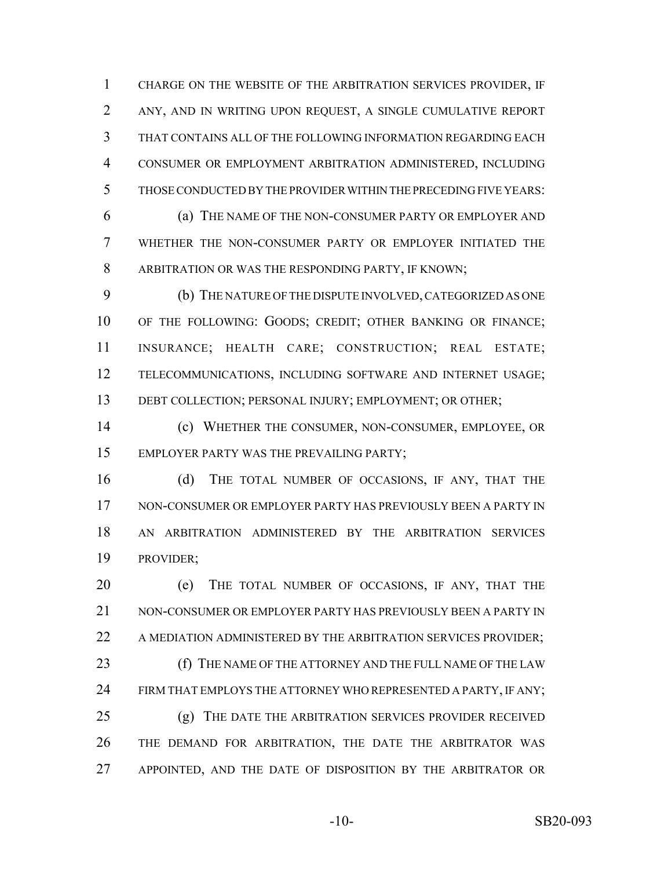CHARGE ON THE WEBSITE OF THE ARBITRATION SERVICES PROVIDER, IF ANY, AND IN WRITING UPON REQUEST, A SINGLE CUMULATIVE REPORT THAT CONTAINS ALL OF THE FOLLOWING INFORMATION REGARDING EACH CONSUMER OR EMPLOYMENT ARBITRATION ADMINISTERED, INCLUDING THOSE CONDUCTED BY THE PROVIDER WITHIN THE PRECEDING FIVE YEARS:

 (a) THE NAME OF THE NON-CONSUMER PARTY OR EMPLOYER AND WHETHER THE NON-CONSUMER PARTY OR EMPLOYER INITIATED THE ARBITRATION OR WAS THE RESPONDING PARTY, IF KNOWN;

 (b) THE NATURE OF THE DISPUTE INVOLVED, CATEGORIZED AS ONE OF THE FOLLOWING: GOODS; CREDIT; OTHER BANKING OR FINANCE; INSURANCE; HEALTH CARE; CONSTRUCTION; REAL ESTATE; TELECOMMUNICATIONS, INCLUDING SOFTWARE AND INTERNET USAGE; 13 DEBT COLLECTION; PERSONAL INJURY; EMPLOYMENT; OR OTHER;

 (c) WHETHER THE CONSUMER, NON-CONSUMER, EMPLOYEE, OR EMPLOYER PARTY WAS THE PREVAILING PARTY;

16 (d) THE TOTAL NUMBER OF OCCASIONS, IF ANY, THAT THE NON-CONSUMER OR EMPLOYER PARTY HAS PREVIOUSLY BEEN A PARTY IN AN ARBITRATION ADMINISTERED BY THE ARBITRATION SERVICES PROVIDER;

 (e) THE TOTAL NUMBER OF OCCASIONS, IF ANY, THAT THE NON-CONSUMER OR EMPLOYER PARTY HAS PREVIOUSLY BEEN A PARTY IN 22 A MEDIATION ADMINISTERED BY THE ARBITRATION SERVICES PROVIDER; **(f)** THE NAME OF THE ATTORNEY AND THE FULL NAME OF THE LAW 24 FIRM THAT EMPLOYS THE ATTORNEY WHO REPRESENTED A PARTY, IF ANY; (g) THE DATE THE ARBITRATION SERVICES PROVIDER RECEIVED THE DEMAND FOR ARBITRATION, THE DATE THE ARBITRATOR WAS 27 APPOINTED, AND THE DATE OF DISPOSITION BY THE ARBITRATOR OR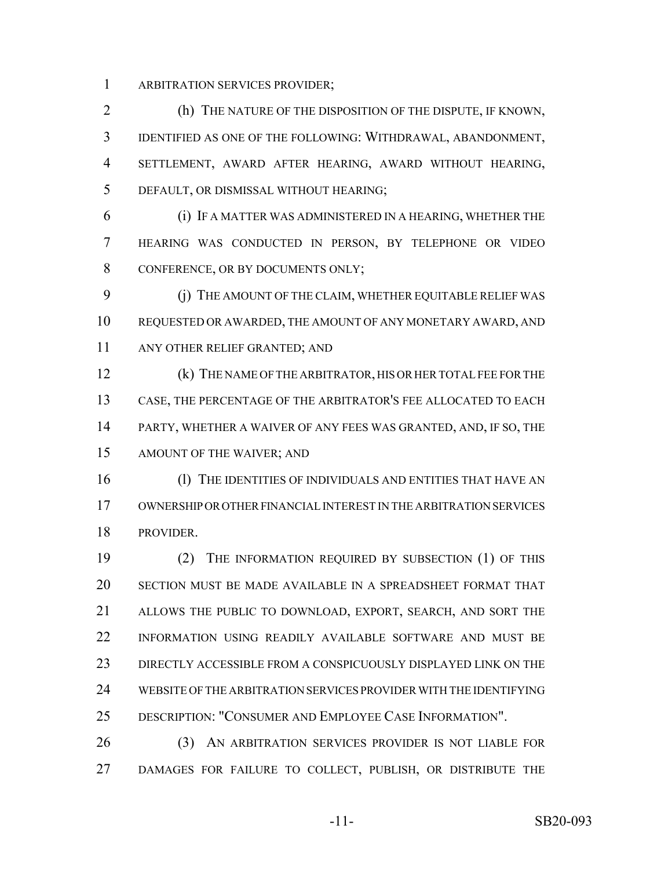ARBITRATION SERVICES PROVIDER;

 (h) THE NATURE OF THE DISPOSITION OF THE DISPUTE, IF KNOWN, IDENTIFIED AS ONE OF THE FOLLOWING: WITHDRAWAL, ABANDONMENT, SETTLEMENT, AWARD AFTER HEARING, AWARD WITHOUT HEARING, DEFAULT, OR DISMISSAL WITHOUT HEARING;

 (i) IF A MATTER WAS ADMINISTERED IN A HEARING, WHETHER THE HEARING WAS CONDUCTED IN PERSON, BY TELEPHONE OR VIDEO 8 CONFERENCE, OR BY DOCUMENTS ONLY;

 (j) THE AMOUNT OF THE CLAIM, WHETHER EQUITABLE RELIEF WAS REQUESTED OR AWARDED, THE AMOUNT OF ANY MONETARY AWARD, AND ANY OTHER RELIEF GRANTED; AND

 (k) THE NAME OF THE ARBITRATOR, HIS OR HER TOTAL FEE FOR THE CASE, THE PERCENTAGE OF THE ARBITRATOR'S FEE ALLOCATED TO EACH PARTY, WHETHER A WAIVER OF ANY FEES WAS GRANTED, AND, IF SO, THE AMOUNT OF THE WAIVER; AND

16 (1) THE IDENTITIES OF INDIVIDUALS AND ENTITIES THAT HAVE AN OWNERSHIP OR OTHER FINANCIAL INTEREST IN THE ARBITRATION SERVICES PROVIDER.

 (2) THE INFORMATION REQUIRED BY SUBSECTION (1) OF THIS SECTION MUST BE MADE AVAILABLE IN A SPREADSHEET FORMAT THAT ALLOWS THE PUBLIC TO DOWNLOAD, EXPORT, SEARCH, AND SORT THE INFORMATION USING READILY AVAILABLE SOFTWARE AND MUST BE DIRECTLY ACCESSIBLE FROM A CONSPICUOUSLY DISPLAYED LINK ON THE WEBSITE OF THE ARBITRATION SERVICES PROVIDER WITH THE IDENTIFYING DESCRIPTION: "CONSUMER AND EMPLOYEE CASE INFORMATION".

 (3) AN ARBITRATION SERVICES PROVIDER IS NOT LIABLE FOR DAMAGES FOR FAILURE TO COLLECT, PUBLISH, OR DISTRIBUTE THE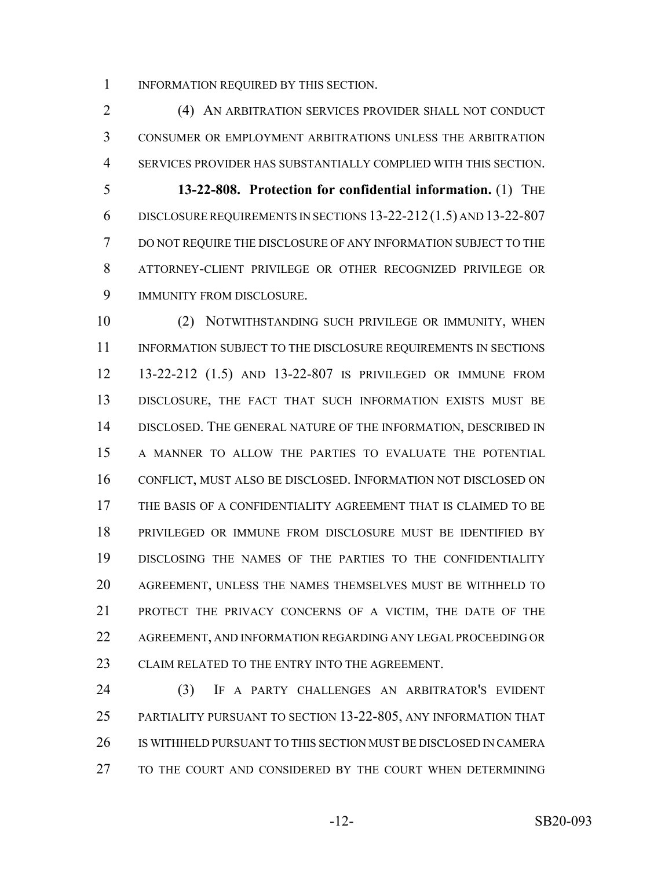INFORMATION REQUIRED BY THIS SECTION.

 (4) AN ARBITRATION SERVICES PROVIDER SHALL NOT CONDUCT CONSUMER OR EMPLOYMENT ARBITRATIONS UNLESS THE ARBITRATION SERVICES PROVIDER HAS SUBSTANTIALLY COMPLIED WITH THIS SECTION. **13-22-808. Protection for confidential information.** (1) THE DISCLOSURE REQUIREMENTS IN SECTIONS 13-22-212 (1.5) AND 13-22-807 DO NOT REQUIRE THE DISCLOSURE OF ANY INFORMATION SUBJECT TO THE ATTORNEY-CLIENT PRIVILEGE OR OTHER RECOGNIZED PRIVILEGE OR IMMUNITY FROM DISCLOSURE.

 (2) NOTWITHSTANDING SUCH PRIVILEGE OR IMMUNITY, WHEN 11 INFORMATION SUBJECT TO THE DISCLOSURE REQUIREMENTS IN SECTIONS 13-22-212 (1.5) AND 13-22-807 IS PRIVILEGED OR IMMUNE FROM DISCLOSURE, THE FACT THAT SUCH INFORMATION EXISTS MUST BE DISCLOSED. THE GENERAL NATURE OF THE INFORMATION, DESCRIBED IN A MANNER TO ALLOW THE PARTIES TO EVALUATE THE POTENTIAL CONFLICT, MUST ALSO BE DISCLOSED. INFORMATION NOT DISCLOSED ON THE BASIS OF A CONFIDENTIALITY AGREEMENT THAT IS CLAIMED TO BE PRIVILEGED OR IMMUNE FROM DISCLOSURE MUST BE IDENTIFIED BY DISCLOSING THE NAMES OF THE PARTIES TO THE CONFIDENTIALITY AGREEMENT, UNLESS THE NAMES THEMSELVES MUST BE WITHHELD TO PROTECT THE PRIVACY CONCERNS OF A VICTIM, THE DATE OF THE AGREEMENT, AND INFORMATION REGARDING ANY LEGAL PROCEEDING OR 23 CLAIM RELATED TO THE ENTRY INTO THE AGREEMENT.

 (3) IF A PARTY CHALLENGES AN ARBITRATOR'S EVIDENT PARTIALITY PURSUANT TO SECTION 13-22-805, ANY INFORMATION THAT IS WITHHELD PURSUANT TO THIS SECTION MUST BE DISCLOSED IN CAMERA TO THE COURT AND CONSIDERED BY THE COURT WHEN DETERMINING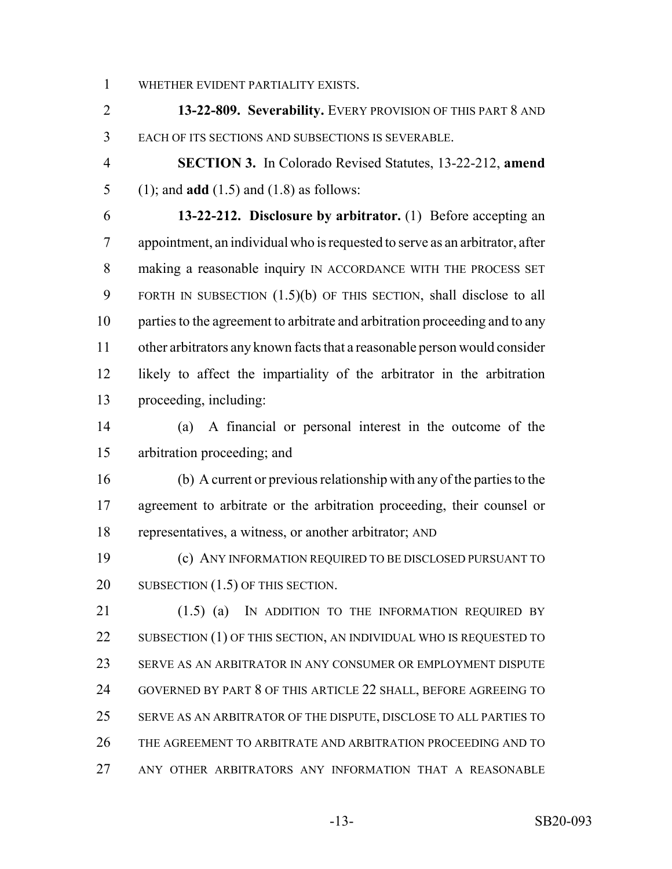WHETHER EVIDENT PARTIALITY EXISTS.

 **13-22-809. Severability.** EVERY PROVISION OF THIS PART 8 AND EACH OF ITS SECTIONS AND SUBSECTIONS IS SEVERABLE.

 **SECTION 3.** In Colorado Revised Statutes, 13-22-212, **amend** (1); and **add** (1.5) and (1.8) as follows:

 **13-22-212. Disclosure by arbitrator.** (1) Before accepting an appointment, an individual who is requested to serve as an arbitrator, after 8 making a reasonable inquiry IN ACCORDANCE WITH THE PROCESS SET FORTH IN SUBSECTION (1.5)(b) OF THIS SECTION, shall disclose to all parties to the agreement to arbitrate and arbitration proceeding and to any other arbitrators any known facts that a reasonable person would consider likely to affect the impartiality of the arbitrator in the arbitration proceeding, including:

 (a) A financial or personal interest in the outcome of the arbitration proceeding; and

 (b) A current or previous relationship with any of the parties to the agreement to arbitrate or the arbitration proceeding, their counsel or representatives, a witness, or another arbitrator; AND

 (c) ANY INFORMATION REQUIRED TO BE DISCLOSED PURSUANT TO 20 SUBSECTION (1.5) OF THIS SECTION.

21 (1.5) (a) IN ADDITION TO THE INFORMATION REQUIRED BY 22 SUBSECTION (1) OF THIS SECTION, AN INDIVIDUAL WHO IS REQUESTED TO SERVE AS AN ARBITRATOR IN ANY CONSUMER OR EMPLOYMENT DISPUTE GOVERNED BY PART 8 OF THIS ARTICLE 22 SHALL, BEFORE AGREEING TO SERVE AS AN ARBITRATOR OF THE DISPUTE, DISCLOSE TO ALL PARTIES TO THE AGREEMENT TO ARBITRATE AND ARBITRATION PROCEEDING AND TO ANY OTHER ARBITRATORS ANY INFORMATION THAT A REASONABLE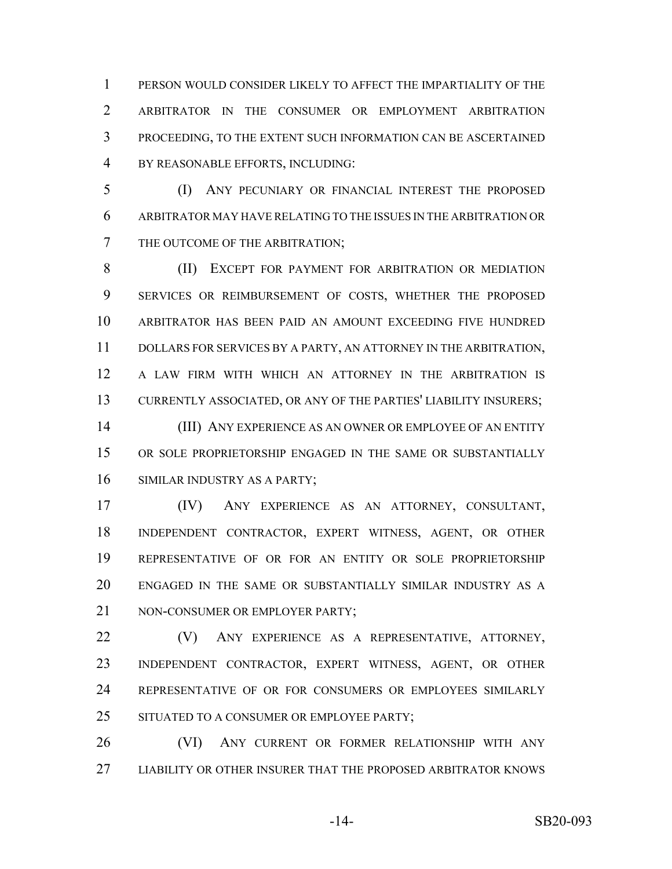PERSON WOULD CONSIDER LIKELY TO AFFECT THE IMPARTIALITY OF THE ARBITRATOR IN THE CONSUMER OR EMPLOYMENT ARBITRATION PROCEEDING, TO THE EXTENT SUCH INFORMATION CAN BE ASCERTAINED BY REASONABLE EFFORTS, INCLUDING:

 (I) ANY PECUNIARY OR FINANCIAL INTEREST THE PROPOSED ARBITRATOR MAY HAVE RELATING TO THE ISSUES IN THE ARBITRATION OR THE OUTCOME OF THE ARBITRATION;

 (II) EXCEPT FOR PAYMENT FOR ARBITRATION OR MEDIATION SERVICES OR REIMBURSEMENT OF COSTS, WHETHER THE PROPOSED ARBITRATOR HAS BEEN PAID AN AMOUNT EXCEEDING FIVE HUNDRED DOLLARS FOR SERVICES BY A PARTY, AN ATTORNEY IN THE ARBITRATION, A LAW FIRM WITH WHICH AN ATTORNEY IN THE ARBITRATION IS CURRENTLY ASSOCIATED, OR ANY OF THE PARTIES' LIABILITY INSURERS;

 (III) ANY EXPERIENCE AS AN OWNER OR EMPLOYEE OF AN ENTITY OR SOLE PROPRIETORSHIP ENGAGED IN THE SAME OR SUBSTANTIALLY SIMILAR INDUSTRY AS A PARTY;

 (IV) ANY EXPERIENCE AS AN ATTORNEY, CONSULTANT, INDEPENDENT CONTRACTOR, EXPERT WITNESS, AGENT, OR OTHER REPRESENTATIVE OF OR FOR AN ENTITY OR SOLE PROPRIETORSHIP ENGAGED IN THE SAME OR SUBSTANTIALLY SIMILAR INDUSTRY AS A 21 NON-CONSUMER OR EMPLOYER PARTY:

 (V) ANY EXPERIENCE AS A REPRESENTATIVE, ATTORNEY, INDEPENDENT CONTRACTOR, EXPERT WITNESS, AGENT, OR OTHER REPRESENTATIVE OF OR FOR CONSUMERS OR EMPLOYEES SIMILARLY 25 SITUATED TO A CONSUMER OR EMPLOYEE PARTY;

 (VI) ANY CURRENT OR FORMER RELATIONSHIP WITH ANY LIABILITY OR OTHER INSURER THAT THE PROPOSED ARBITRATOR KNOWS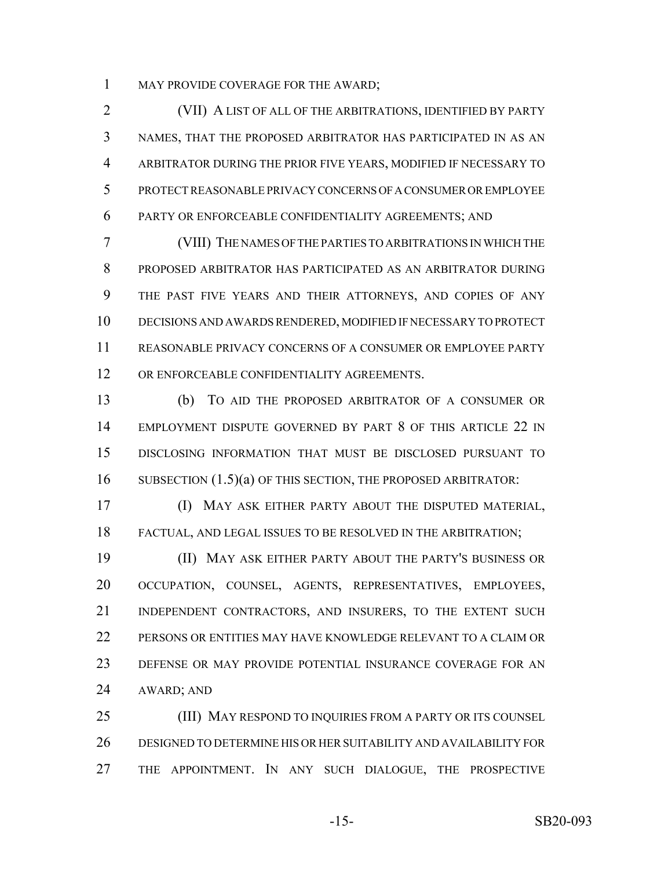1 MAY PROVIDE COVERAGE FOR THE AWARD;

 (VII) A LIST OF ALL OF THE ARBITRATIONS, IDENTIFIED BY PARTY NAMES, THAT THE PROPOSED ARBITRATOR HAS PARTICIPATED IN AS AN ARBITRATOR DURING THE PRIOR FIVE YEARS, MODIFIED IF NECESSARY TO PROTECT REASONABLE PRIVACY CONCERNS OF A CONSUMER OR EMPLOYEE PARTY OR ENFORCEABLE CONFIDENTIALITY AGREEMENTS; AND

 (VIII) THE NAMES OF THE PARTIES TO ARBITRATIONS IN WHICH THE PROPOSED ARBITRATOR HAS PARTICIPATED AS AN ARBITRATOR DURING THE PAST FIVE YEARS AND THEIR ATTORNEYS, AND COPIES OF ANY DECISIONS AND AWARDS RENDERED, MODIFIED IF NECESSARY TO PROTECT REASONABLE PRIVACY CONCERNS OF A CONSUMER OR EMPLOYEE PARTY OR ENFORCEABLE CONFIDENTIALITY AGREEMENTS.

 (b) TO AID THE PROPOSED ARBITRATOR OF A CONSUMER OR EMPLOYMENT DISPUTE GOVERNED BY PART 8 OF THIS ARTICLE 22 IN DISCLOSING INFORMATION THAT MUST BE DISCLOSED PURSUANT TO 16 SUBSECTION (1.5)(a) OF THIS SECTION, THE PROPOSED ARBITRATOR:

 (I) MAY ASK EITHER PARTY ABOUT THE DISPUTED MATERIAL, FACTUAL, AND LEGAL ISSUES TO BE RESOLVED IN THE ARBITRATION;

 (II) MAY ASK EITHER PARTY ABOUT THE PARTY'S BUSINESS OR OCCUPATION, COUNSEL, AGENTS, REPRESENTATIVES, EMPLOYEES, INDEPENDENT CONTRACTORS, AND INSURERS, TO THE EXTENT SUCH PERSONS OR ENTITIES MAY HAVE KNOWLEDGE RELEVANT TO A CLAIM OR DEFENSE OR MAY PROVIDE POTENTIAL INSURANCE COVERAGE FOR AN AWARD; AND

 (III) MAY RESPOND TO INQUIRIES FROM A PARTY OR ITS COUNSEL DESIGNED TO DETERMINE HIS OR HER SUITABILITY AND AVAILABILITY FOR THE APPOINTMENT. IN ANY SUCH DIALOGUE, THE PROSPECTIVE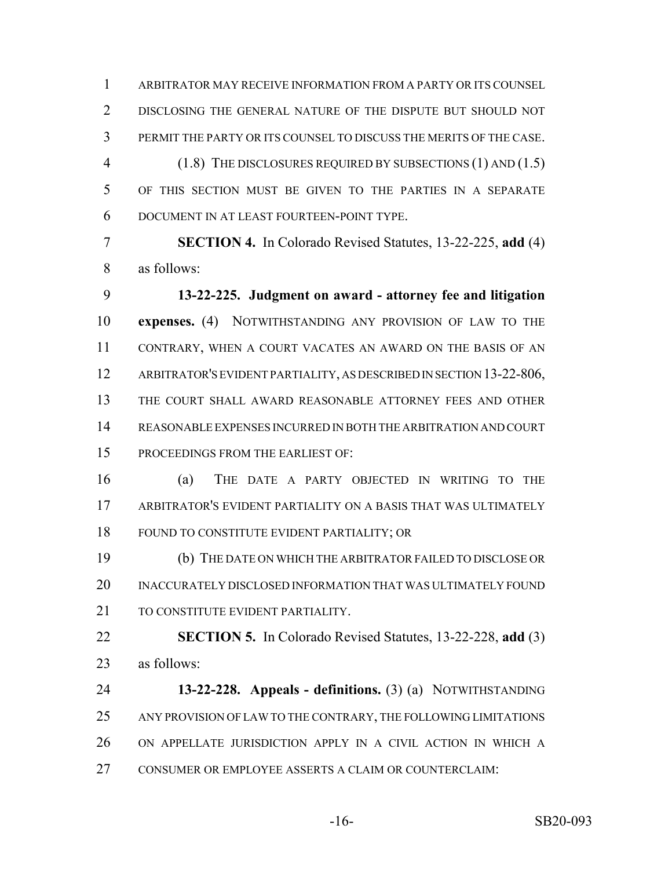ARBITRATOR MAY RECEIVE INFORMATION FROM A PARTY OR ITS COUNSEL DISCLOSING THE GENERAL NATURE OF THE DISPUTE BUT SHOULD NOT PERMIT THE PARTY OR ITS COUNSEL TO DISCUSS THE MERITS OF THE CASE. (1.8) THE DISCLOSURES REQUIRED BY SUBSECTIONS (1) AND (1.5) OF THIS SECTION MUST BE GIVEN TO THE PARTIES IN A SEPARATE DOCUMENT IN AT LEAST FOURTEEN-POINT TYPE.

 **SECTION 4.** In Colorado Revised Statutes, 13-22-225, **add** (4) as follows:

 **13-22-225. Judgment on award - attorney fee and litigation expenses.** (4) NOTWITHSTANDING ANY PROVISION OF LAW TO THE CONTRARY, WHEN A COURT VACATES AN AWARD ON THE BASIS OF AN 12 ARBITRATOR'S EVIDENT PARTIALITY, AS DESCRIBED IN SECTION 13-22-806, THE COURT SHALL AWARD REASONABLE ATTORNEY FEES AND OTHER REASONABLE EXPENSES INCURRED IN BOTH THE ARBITRATION AND COURT PROCEEDINGS FROM THE EARLIEST OF:

 (a) THE DATE A PARTY OBJECTED IN WRITING TO THE ARBITRATOR'S EVIDENT PARTIALITY ON A BASIS THAT WAS ULTIMATELY FOUND TO CONSTITUTE EVIDENT PARTIALITY; OR

 (b) THE DATE ON WHICH THE ARBITRATOR FAILED TO DISCLOSE OR INACCURATELY DISCLOSED INFORMATION THAT WAS ULTIMATELY FOUND 21 TO CONSTITUTE EVIDENT PARTIALITY.

 **SECTION 5.** In Colorado Revised Statutes, 13-22-228, **add** (3) as follows:

 **13-22-228. Appeals - definitions.** (3) (a) NOTWITHSTANDING ANY PROVISION OF LAW TO THE CONTRARY, THE FOLLOWING LIMITATIONS ON APPELLATE JURISDICTION APPLY IN A CIVIL ACTION IN WHICH A CONSUMER OR EMPLOYEE ASSERTS A CLAIM OR COUNTERCLAIM: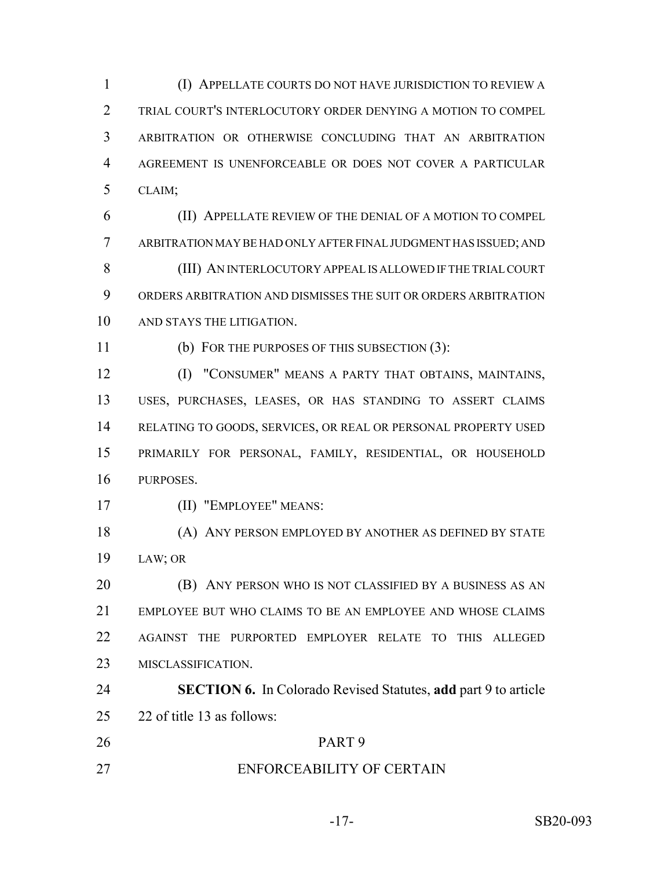(I) APPELLATE COURTS DO NOT HAVE JURISDICTION TO REVIEW A TRIAL COURT'S INTERLOCUTORY ORDER DENYING A MOTION TO COMPEL ARBITRATION OR OTHERWISE CONCLUDING THAT AN ARBITRATION AGREEMENT IS UNENFORCEABLE OR DOES NOT COVER A PARTICULAR CLAIM;

 (II) APPELLATE REVIEW OF THE DENIAL OF A MOTION TO COMPEL ARBITRATION MAY BE HAD ONLY AFTER FINAL JUDGMENT HAS ISSUED; AND (III) AN INTERLOCUTORY APPEAL IS ALLOWED IF THE TRIAL COURT ORDERS ARBITRATION AND DISMISSES THE SUIT OR ORDERS ARBITRATION AND STAYS THE LITIGATION.

(b) FOR THE PURPOSES OF THIS SUBSECTION (3):

 (I) "CONSUMER" MEANS A PARTY THAT OBTAINS, MAINTAINS, USES, PURCHASES, LEASES, OR HAS STANDING TO ASSERT CLAIMS RELATING TO GOODS, SERVICES, OR REAL OR PERSONAL PROPERTY USED PRIMARILY FOR PERSONAL, FAMILY, RESIDENTIAL, OR HOUSEHOLD PURPOSES.

(II) "EMPLOYEE" MEANS:

 (A) ANY PERSON EMPLOYED BY ANOTHER AS DEFINED BY STATE LAW; OR

 (B) ANY PERSON WHO IS NOT CLASSIFIED BY A BUSINESS AS AN EMPLOYEE BUT WHO CLAIMS TO BE AN EMPLOYEE AND WHOSE CLAIMS AGAINST THE PURPORTED EMPLOYER RELATE TO THIS ALLEGED MISCLASSIFICATION.

 **SECTION 6.** In Colorado Revised Statutes, **add** part 9 to article 22 of title 13 as follows:

- PART 9
- ENFORCEABILITY OF CERTAIN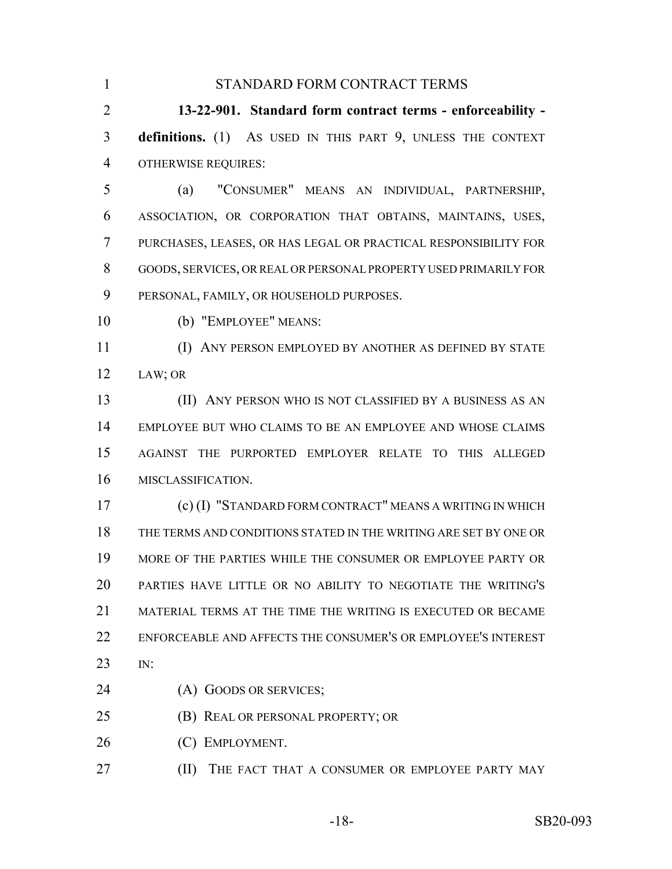| 1              | STANDARD FORM CONTRACT TERMS                                     |
|----------------|------------------------------------------------------------------|
| $\overline{2}$ | 13-22-901. Standard form contract terms - enforceability -       |
| 3              | definitions. (1) AS USED IN THIS PART 9, UNLESS THE CONTEXT      |
| $\overline{4}$ | <b>OTHERWISE REQUIRES:</b>                                       |
| 5              | "CONSUMER" MEANS AN INDIVIDUAL, PARTNERSHIP,<br>(a)              |
| 6              | ASSOCIATION, OR CORPORATION THAT OBTAINS, MAINTAINS, USES,       |
| $\tau$         | PURCHASES, LEASES, OR HAS LEGAL OR PRACTICAL RESPONSIBILITY FOR  |
| 8              | GOODS, SERVICES, OR REAL OR PERSONAL PROPERTY USED PRIMARILY FOR |
| 9              | PERSONAL, FAMILY, OR HOUSEHOLD PURPOSES.                         |
| 10             | (b) "EMPLOYEE" MEANS:                                            |
| 11             | ANY PERSON EMPLOYED BY ANOTHER AS DEFINED BY STATE<br>(I)        |
| 12             | LAW; OR                                                          |
| 13             | (II) ANY PERSON WHO IS NOT CLASSIFIED BY A BUSINESS AS AN        |
| 14             | EMPLOYEE BUT WHO CLAIMS TO BE AN EMPLOYEE AND WHOSE CLAIMS       |
| 15             | AGAINST THE PURPORTED EMPLOYER RELATE TO THIS ALLEGED            |
| 16             | MISCLASSIFICATION.                                               |
| 17             | (c) (I) "STANDARD FORM CONTRACT" MEANS A WRITING IN WHICH        |
| 18             | THE TERMS AND CONDITIONS STATED IN THE WRITING ARE SET BY ONE OR |
| 19             | MORE OF THE PARTIES WHILE THE CONSUMER OR EMPLOYEE PARTY OR      |
| 20             | PARTIES HAVE LITTLE OR NO ABILITY TO NEGOTIATE THE WRITING'S     |
| 21             | MATERIAL TERMS AT THE TIME THE WRITING IS EXECUTED OR BECAME     |
| 22             | ENFORCEABLE AND AFFECTS THE CONSUMER'S OR EMPLOYEE'S INTEREST    |
| 23             | IN:                                                              |
| 24             | (A) GOODS OR SERVICES;                                           |
| 25             | (B) REAL OR PERSONAL PROPERTY; OR                                |
| 26             | (C) EMPLOYMENT.                                                  |
| 27             | (II)<br>THE FACT THAT A CONSUMER OR EMPLOYEE PARTY MAY           |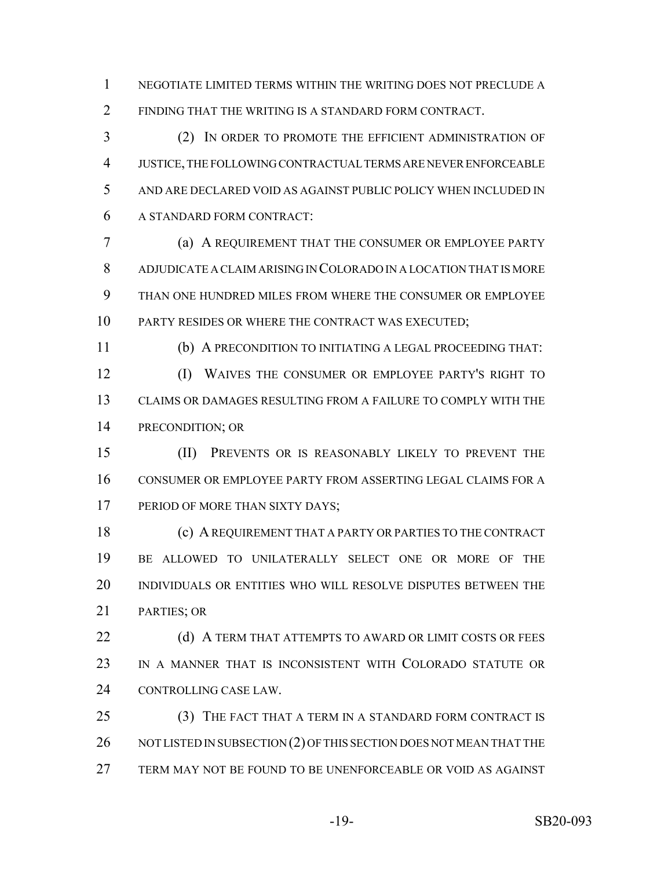NEGOTIATE LIMITED TERMS WITHIN THE WRITING DOES NOT PRECLUDE A FINDING THAT THE WRITING IS A STANDARD FORM CONTRACT.

 (2) IN ORDER TO PROMOTE THE EFFICIENT ADMINISTRATION OF JUSTICE, THE FOLLOWING CONTRACTUAL TERMS ARE NEVER ENFORCEABLE AND ARE DECLARED VOID AS AGAINST PUBLIC POLICY WHEN INCLUDED IN A STANDARD FORM CONTRACT:

 (a) A REQUIREMENT THAT THE CONSUMER OR EMPLOYEE PARTY ADJUDICATE A CLAIM ARISING IN COLORADO IN A LOCATION THAT IS MORE THAN ONE HUNDRED MILES FROM WHERE THE CONSUMER OR EMPLOYEE PARTY RESIDES OR WHERE THE CONTRACT WAS EXECUTED;

 (b) A PRECONDITION TO INITIATING A LEGAL PROCEEDING THAT: (I) WAIVES THE CONSUMER OR EMPLOYEE PARTY'S RIGHT TO CLAIMS OR DAMAGES RESULTING FROM A FAILURE TO COMPLY WITH THE PRECONDITION; OR

 (II) PREVENTS OR IS REASONABLY LIKELY TO PREVENT THE CONSUMER OR EMPLOYEE PARTY FROM ASSERTING LEGAL CLAIMS FOR A 17 PERIOD OF MORE THAN SIXTY DAYS;

 (c) A REQUIREMENT THAT A PARTY OR PARTIES TO THE CONTRACT BE ALLOWED TO UNILATERALLY SELECT ONE OR MORE OF THE INDIVIDUALS OR ENTITIES WHO WILL RESOLVE DISPUTES BETWEEN THE PARTIES; OR

**(d) A TERM THAT ATTEMPTS TO AWARD OR LIMIT COSTS OR FEES**  IN A MANNER THAT IS INCONSISTENT WITH COLORADO STATUTE OR CONTROLLING CASE LAW.

 (3) THE FACT THAT A TERM IN A STANDARD FORM CONTRACT IS 26 NOT LISTED IN SUBSECTION (2) OF THIS SECTION DOES NOT MEAN THAT THE TERM MAY NOT BE FOUND TO BE UNENFORCEABLE OR VOID AS AGAINST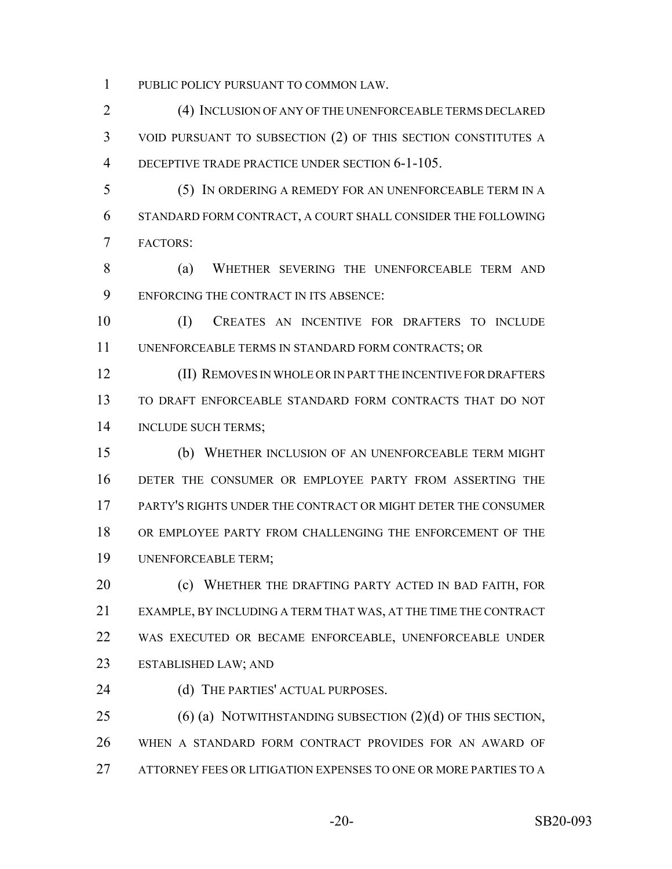PUBLIC POLICY PURSUANT TO COMMON LAW.

 (4) INCLUSION OF ANY OF THE UNENFORCEABLE TERMS DECLARED VOID PURSUANT TO SUBSECTION (2) OF THIS SECTION CONSTITUTES A DECEPTIVE TRADE PRACTICE UNDER SECTION 6-1-105.

 (5) IN ORDERING A REMEDY FOR AN UNENFORCEABLE TERM IN A STANDARD FORM CONTRACT, A COURT SHALL CONSIDER THE FOLLOWING FACTORS:

 (a) WHETHER SEVERING THE UNENFORCEABLE TERM AND ENFORCING THE CONTRACT IN ITS ABSENCE:

 (I) CREATES AN INCENTIVE FOR DRAFTERS TO INCLUDE UNENFORCEABLE TERMS IN STANDARD FORM CONTRACTS; OR

 (II) REMOVES IN WHOLE OR IN PART THE INCENTIVE FOR DRAFTERS TO DRAFT ENFORCEABLE STANDARD FORM CONTRACTS THAT DO NOT INCLUDE SUCH TERMS;

 (b) WHETHER INCLUSION OF AN UNENFORCEABLE TERM MIGHT DETER THE CONSUMER OR EMPLOYEE PARTY FROM ASSERTING THE PARTY'S RIGHTS UNDER THE CONTRACT OR MIGHT DETER THE CONSUMER OR EMPLOYEE PARTY FROM CHALLENGING THE ENFORCEMENT OF THE UNENFORCEABLE TERM;

**(c) WHETHER THE DRAFTING PARTY ACTED IN BAD FAITH, FOR**  EXAMPLE, BY INCLUDING A TERM THAT WAS, AT THE TIME THE CONTRACT WAS EXECUTED OR BECAME ENFORCEABLE, UNENFORCEABLE UNDER ESTABLISHED LAW; AND

24 (d) THE PARTIES' ACTUAL PURPOSES.

25 (6) (a) NOTWITHSTANDING SUBSECTION (2)(d) OF THIS SECTION, WHEN A STANDARD FORM CONTRACT PROVIDES FOR AN AWARD OF ATTORNEY FEES OR LITIGATION EXPENSES TO ONE OR MORE PARTIES TO A